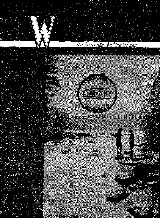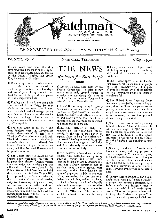

### *Vol.* XLIII,  $N_e$ , 5 NASHVILLE, TENNESSEE *May*, 1934

**Q** Two French fliers report that they have discovered the ruins of the capital of Sheba in central Arabia, made famous by the Queen of Sheba, who visited King Solomon in Bible times.

41d. When army air-mail deaths mounted to ten, the President suspended the whole air-post system for a few days, and now steps are being taken to turn back the service to private companies on free competitive bids.

**Q** Finding that liquor is not being sold cheap enough in the United States to eliminate the bootlegger, the Government has abolished all foreign quotas for a time, and has let down the bars for American distilling. Thus a flood of cheaper whiskey will inundate the country after April I.

**Q** The Blue Eagle of the NRA lost some feathers when the Government invited thousands of "kickers" to a "field day" of criticism early in March. The bird's sponsors admit mistakes in the code plans, but it is believed that honest effort is being made to correct these, and that National Recovery will be granted new life.

**41** The United States is launching the largest navy expansion program of its peace-time history. Twenty vessels are now under construction; and 238 million dollars have been given by the Public Works Administration to build thirty-two more. And the Vinson Bill, just approved by the Senate, authorizes the construction of one air-craft carrier, sixty-five destroyers, thirty submarines, and six cruisers in further addition. Nearly a billion dollars will go into the whole program, and a half-billion-dollar annual expenditure will be required to maintain the projected fleet.



42( Lotteries having been tried by the French Government to raise money where taxes fail, several States in America are considering this sort of "fool tax" to get revenue. Congress has refused to start a Federal lottery.

41 Great Britain is spending \$287,030,- 200 in naval armament this year; France *proposes a \$300,000,000* expenditure; Japan, Germany, and Italy are also out to add materially to their naval warpreparation. But war talk has subsided, and peace talk is in the air.

((Mussolini, dictator of Italy, has announced a "sixty-year plan" for his people. At the end of that period he expects *Italia* to hold "the primacy of the world," having extended its sphere of government into large parts of Africa and Asia, the only continents where there is a future for Italy.

4:( Mr. Roosevelt's second year in office started with multiplied and growing troubles. Spring and strikes came skipping in hand in hand. Automobile, steel, and railway industries, not to mention many smaller groups, were harrassed by the labor unions for the right of employees to join nation-wide unions controlled by the American Federation of Labor, rather than being confined to "company unions" allegedly influenced by employers. Labor troubles thus threatened to delay or demoralize the whole NRA plan. The President has taken a hand to conciliate the many factions.

**41** Candy and ice cream "doped" with alcohol up to 25 per cent are now being sold to children to create in them the drink habit.

((The " Visagraph " is a mechanism just invented which enables blind people to "read" ordinary type. The page of type is scanned by a photo-electric cell and is reproduced in raised letters on aluminum foil.

**4il,** The United States Supreme Court has recently decided by a vote of five to four, that the State has power to set prices; in other words, that a merchant may have *to* charge more than he wants to for his wares, the law of supply and demand being eliminated.

**4 The Russian Government is planning** to build a Soviet Palace at Moscow. It will rise to a height of 1361 feet, and will be capped by a statue of Lenin 262 feet tall. It promises to be the highest structure in the world, 113 feet taller than the Empire State Building in New York.

41 Some 250 midgets in Austria have formed a union, and they propose a dwarfs' congress in Vienna for next year, to consolidate the 10,000 dwarfs throughout the world. They demand houses only nine feet high, half-fare privileges on public conveyances, and clothing stores carrying adult styles in miniature sizes.

41 Turkey, Greece, Rumania, and Yugoslavia have signed a "Balkan Peace" to respect one another's frontiers. Also Italy, Austria, and Hungary recently united on political and trade agreements. Thus do European nations seek to keep the "balance of power" in spite of their making strange bedfellows.

Entered as second-class matter, January 19, 1909, at the post office at Nashville, Tenn., under act of March 3,1879, by the Southern Publishing Association<br>(Seventh-day Adventist), 2119 24th Ave. N. Published monthly (cxce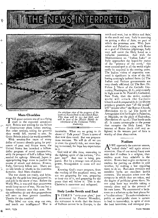



*Haternational Newsreel* 

毵

#### **Mars Chuckles**

**HE great nations are off to a flying**  start in the expected armament **race. Britain was waiting for the failure**  of disarmament **plans before starting.**  But other **nations, taking for granted they would fail, started to arm. So Great Britain joined the world scramble.** 

**. With seventy-five cents of every dollar of income already going for pay- . ments of past and future wars, the United States has launched a billiondollar program of naval construction, with the prospect of half a billion being needed for upkeep. Alarmed, Japan is appropriating huge sums to perfect its means of attack and defense. France, Italy, Germany follow suit. There are no idle hands or wheels in the munition factories. And Mars chuckles!** 

**The war chests are ready, and brimming; for the gold has been gathered in, and gold is the sinew of war. Before the World War, it was said that armaments would keep us out of war. No one but a fatuous visionary says that now. But the militarists do say that preparedness - will save us from greater casualties.**  Thanks for the comfort!

**Why blind our eyes, stop our ears, and- insult our intelligence? War is** 

 $\mathfrak{A}^{\mathfrak{a}}$ 

*A n airplane view of the progress of the work on Norris Dam on ski Clinch River. This dam will be 253 feet high, and will be part of the Muscle Shoals de-*<br> *velopment of the Tennessee Valley Authority.* 

**inevitable. What are we going to do about it? Talk peace? There is more of that now than usual. But war preparations increase. We will do all we can to stem the ghastly tide, not even hoping** to **succeed, for hope has expectation**  in it.

God **said of this time, answering to the fighting spirit of the nations,** *"Prepare* war!" **And war is being prepared. But by a strange turn of divine power, Armageddon to come will end war.** 

**Knowing God's exact program, from the reading of His prophetic word, we too are preparing for war, preparing to keep out of it, and preparing for the peace** *that* **will follow it. This is the Christian's assurance and safeguard.** 

#### **Italy Looks South and East**

**Italy Looks South and East**<br>
IN ITALY'S "sixty-year plan," just<br>
announced by Premier Mussolini,<br>
the statement is made that the future **N ITALY'S "sixty-year plan," just announced by Premier Mussolini, of Italians cannot be in Europe, to the** 

**north and west, but to Africa** and Asia; to the south and east. Italy<sup>5</sup> is counting **on getting a slice of Asia, no** part **of which she possesses now. With J**eru**salem and Palestine vying with Rome as a goal of Christian pilgrimage, Italy may well covet the Holy Land as** a **valuable possession. And with the Mediterranean an "Italian Lake" as Italy approaches the hoped-for status of the "primacy of the earth," this most revered spot in all the world might easily be acquired in the coming years. The Italian vision of expansion eastward is significant in view of the fol-.**  lowing seemingly isolated facts: (1) The **Italian and Vatican governments are very closely affiliated. (2) The Rev. Dr.**  Fulton J. Sheen of the Catholic Uni**versity,Washington, D. C., said recently in high mass in St. Patrick's Cathedral, New York, that the entire modern world will attack the Catholic Church and** *be conquered by it. (3)* **Divine**  prophecy predicts that "all **the world" will "wonder after" the Roman Church. (Revelation 13:3). (4) The battle of Armageddon is to be fought in Palestine,. at Megiddo, on the plain of. Esdraelon.. (Revelation 16: 14-16.) That battle ends all. It means catastrophe to the power that occupies the Holy Land. The interest of Rome (both civil and religious) in the western part of Asia is worthy of close observation.** 

#### **Nudism**

**WE approach the summer season, " naked clubs" will again attract attention. One of our noted funny men says that if nudism is a religion, then nudists must turn atheistic in the winter. Russia had to give an excuse** to **nudists for putting on clothes in** cold **weather, by making a law** requiring them **to do so. Bare-skin** exercises and **sunshine baths are excellent health restorers. The question arises over the company in which they are taken, and the degree of publicity given them. No one need** *have 'any* **trouble taking a remedy alone and in the privacy of his own home. We recommend a bathroom or a solarium as the best places** for a"nudist **colony." To make nakedness a public or semi-public show is** certain **to lead to immorality, in spite** of **even the best intentions and strongest** pro-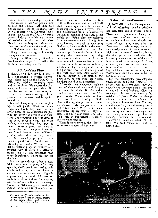#### *THE*  $\mathcal{N}$  *EWS INTERPRETED*  $\mathbb{R}^2$ ⊯

tests of its advocates and participants.

The reason is that God put clothing on man and woman when they first sinned; and so long as sin exists, they do well to keep it on. He made "coats of skin" for Adam and Eve. By wearing decent clothing in public we thereby acknowledge that God was right when He said that our foreparents sinned and thus brought shame on the world, and that God was wise when He decreed clothing to preserve a degree of morality among men and women.

Among healthy-minded, Christian people, nudism, as practiced, finally falls of its own disgusting weight.

#### A Fifty-Year Plan

**DRESIDENT** ROOSEVELT says it **1** is unpatriotic to criticize Government plans, such as the NRA, CWA, PWA, etc., without proposing other and better plans. We answer the challenge, and show our patriotism. But the plan we propose is not ours, but God's. It pertains to agriculture, particularly, but *also could* be applied to industry.

Instead of requiring farmers to plow up, or not plant, cotton and other crops, and forcing hog raisers to raise fewer hogs, to avoid ruinous surplus, why not adopt the seventh-year vacation? God commanded ancient Israel to rest every seventh year, and plant nothing, raise nothing. And after the seventh seventh year, they were to rest another year, two years in succession. The fiftieth year was the Year of Jubilee, when they not only rested, but also then all property went back to its original owner. Another way of cancelling all debts. We have heard debt-forgetting proposed recently as a possible way to solve the economic riddle, and by able financiers who meant it seriously. Where did they get the idea?

But the seventh-year sabbath idea. Eight years out of every fifty were spent by God's people cultivating their minds and souls; only the chores of manual labor were performed. Eight is approximately one sixth of fifty,—onesixth time off kept down the surplus; and the soil was better for the change. Under the NRA our government persuaded the farmers to plow under one

*The world is rife with revolution. This picture shows rioters in Paris, digging up the paving stones with which to build barricades.* 

-8–

PAGE FOUR

third of their cotton; and with cotton in the cotton areas about one half of all crops raised, approximately one sixth of all crops were thus destroyed. Hence the government took a destructive method to accomplish the same result which the divine plan accomplished in a constructive way. Uncle Sam says, Destroy one sixth of your crop; God says, Rest one sixth of the years.

With the seventh-year rest plan comes no problem of the farmer circumventing the Government by using enormous quantities of fertilizer to raise, as much cotton on five sixths of his land as he did on six sixths before, which subterfuge is being worked now, 110 per cent more fertilizer being used this year than last. Also comes no Federal support of one sixth of our population, as was done last winter, for there would be no depression.

Of course, our emergency explains much of what we do now, and changes must be made quickly. But this nation has been in existence over three fiftyyear periods. Where might we have been now if we had adopted God's plan in the beginning? No depression, we answer. Italy has just started a "sixty-year plan." Why doesn't some progressive nation start a fifty-year plan, God's fifty-year plan? The Bible isn't such an impracticable textbook on economics after all.

There is much more to this. But let WATCHMAN readers think it over.

#### Reformation--Conversion

A NOTABLE and noble experiment<br>of reforming juvenile criminals NOTABLE and noble experiment has been tried out in Boston. Special "treatment"—probation, placing out, and institutional correction—was tried on one thousand boys averaging thirteen years of age. Five years after the treatment" their careers were investigated, and 923 of them were traced. Eighty-two per cent of these had, during the five years, continued their delinquency; seventy per cent of them had been arrested on an average of 3.6 per, cent each, and 'two thirds of them had been sentenced for serious crimes, largely felonies. As one authority said, "After treatment they were as bad as before or worse.'

Let the penologists, psychologists, psychiatrists, and other "experts" try as they will to reform lives, they will never hit on anywhere near as effective a method as old-fashioned Christian conversion. It takes the power of the religion of Jesus Christ to change miraculously (and only a miracle can do it) human hearts and lives. Rousing, soundly spiritual, revival meetings have never been approached for thorough and lasting success in lessening crime and curing criminals, regardless of heredity, education, and environment.

Conversion remedies when all else fails. We need transformed, not *reformed* lives.



THE WATCHMAN MAGAZINE

à.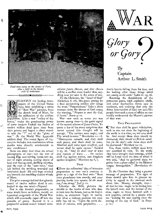



**g**lory **Q** or gory ( •  $\mathcal{B}y$ 

Captain Arthur L. Smith

*Dead men lying on the streets of Paris after a fight in the bloody riots of midwinter* 



系

钗

ليود

 $\tilde{\mathscr{Q}}$  .

Â.

 $\gamma_{\rm c}$ 

ECENTLY the leading newspapers of the United States have been publishing a series of "Raw War" pictures, from the sketch book of Mars, for the edification of the civilian population. Like a new "valley of dry bones," under the prophesying power of some modern Ezekiel the bodies of twelve million dead have risen from their graves and begun a silent march to take the "1" out of the "glory of war." (In the World War 8,490,086

soldiers died. The round figure of 12,- 000,000 includes non-combatants whose deaths were directly attributable to war conditions.) None can deny that these are actual

photographs of war—not the war of tossing flags and stirring bands but the war of night attacks, seering sheets of lead and tearing steel, shrilling whistles, and the rush of the "zero hour," that left behind the writhing wounded and butchered dead—life and hope crushed out beneath the rumbling chariot wheels of Mars.

The grim message behind that ghastly march of twelve million dead is embodied in the one *word—Prepare!* 

Nor is this feverish preparation, as some would have us believe, merely an hysterical outgrowth of the World War which will eventually taper off into the pursuits of peace. Instead it is a purposeful onward march toward some sinister *future* climax; and that climax will be a conflict more fearful than anything ever yet seen in the arena of war.

To the Christian, the "Israel of God" (Galatians 6: 16), this great arming for a final devastating conflict also brings the word "Preparedness." Like a silver trumpet from the throne of God comes the warning, *"Prepare to meet thy God, 0 Israel."* Amos 4: 12.

War—war such as never yet was known among men—is the great signal of the second advent of Jesus Christ. To quote a few of the many scriptures that center around this thought will be enough. "The nations were angry, and Thy wrath is come." Revelation 11: 18. "Destruction cometh; and they shall seek peace, and there shall be none. Mischief shall come upon mischief, and rumor shall be upon rumor." Ezekiel 7:25, 26. "And ye shall hear of wars and rumors of wars: . . . for nation shall rise against nation, and kingdom against kingdom." Matthew 24: 6, 7.

#### FEAR

**IL** Even the militarists' idea of intensive preparation to awe one's enemies is given as a sign of the final war: "Beat your plowshares into swords, and your pruning hooks into spears: *let the weak say, I am strong." Joel 3:* io.

Likewise the Bible pictures the trouble in the hearts of men who dare to look into the future, just as we find it today, as statesmen begin to realize into what a hideous position our mad folly has led us. "Upon the earth distress of nations, with perplexity; . . .

men's hearts failing them for fear, and for looking after those things *which are coming on the earth."* Luke 21: 25, 26.

Knowing the fiendishness of the poisonous gases, high explosive shells, and other destructive forces now in readiness, and realizing that only the direct intervention of God can save His people from such a state of affairs we can readily understand the Master's picture of that war:

#### TRUE PREPARATION

41" For then shall be great tribulation, such as was not since the beginning of the world to this time, no, nor ever shall be. And except those days should be shortened, *there should no flesh be saved: but for the elect's sake* those days shall be shortened." Matthew 24: 22.

Yes, these twelve million dead have not marched in vain. To the world they have brought their message, which will be heard until the time of which it was said, "And he gathered them together into a place called in the Hebrew tongue Armageddon." (Revelation 16: 16.)

To the Christian they bring a greater message of preparation. The sight of them should spur him to greater activity in regard to the unsaved souls about him. Money, strength, time all that he has—ought to be hurled into the breach now, and the banner of the cross ought to move forward with a new impetus, carried by a people who are "looking for and hasting unto the coming of the day of God." (2 Peter 3: 12.)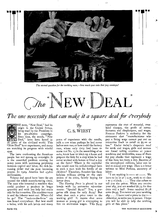

The eternal question for the working man,—how much goes into that pay envelope?

# $\bigcirc_{he}$  'NEW DEAL'

The one necessity that can make it a square deal for everybody



eyes.

*HE* term, "New Deal," had its origin in the United States, being used by the President in his pre-election campaign. Since then, the words, "New Deal," have been heard in all parts of the civilized world. This 'New Deal" is an experiment, and many are watching its progress with wistful

The issue confronting the American people has not sprung up overnight. It is the unsettled problem existing for many years with increasing perplexity between capital and labor, the rich becoming richer and the poor becoming poorer. In 1929, America had 43,600 millionaires.

Volume and speed have been the cry around the whole manufacturing circle. The man who invented a machine that could produce a product in larger quantity and with *less* help had ready sale for his invention. The machine came in and the laborer went out. Where did he go? The "back-to-the-farm" cry was heard everywhere. But how could a tailor, with his soft hands and many

## *By*  C. S. WIEST

years of experience with the needle, milk a cow when perhaps he had never before seen one; or how could the factory man, whose only duty had been to screw nut No. 13 in the assembling of an auto, know how to hitch up a horse and prepare the field for a crop when he had never worked with horses or lived a day on the farm? Where is the capitalist who would rent his well-developed farm to such a man with his family of six children? Therefore, America has these helpless millions sitting on the curb stones of its cities, faintly hoping for better days.

The *Evening Press* is placed in our hands with its numerous advertisements: "Special! \$4.95!" Yes, a gorgeous silk dress for only \$4.95! But what does such a price mean to the working girl? It means that some woman or young girl is attempting to live on starvation wages. This \$4.95

represents the cost of material, overhead charges, the profit of manufacturers and shopkeepers, and wages. Frances Perkins is authority for the statement that "manufacturers who pay a living wage cannot put out an attractive frock to retail at \$5.00 or less." Under today's desperate need for work and wages, girls and women are found toiling overtime at power machines and worktables, some of them for pay checks that represent a wage of less than ten cents a day. Because of the unemployed millions, labor can be had at almost any wage. Here is a letter written to Miss Perkins, secretary *of*  labor:

"I am working in  $\longrightarrow$  at  $\longrightarrow$ . We have to be in at 7 A.M., work to 12 then I to 5 o'clock.  $\ldots$  They also refuse to tell you the prices. When you receive your slip, you are marked \$2.75 for five days and a half. Some received \$1.78 some \$0.95. You never see your working slip. . . . I have read a piece in the *— Advertiser,* to write you in person. I hope you will be able to help the working girls at this place."

THE WATCHMAN MAGAZINE

PAGE SIX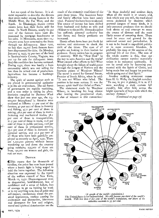Let me speak of the farmer. It is almost impossible to describe the distress that exists today among farmers in the Middle West, the Far West, and the South. In Mississippi, 6o,000 cotton raisers have had their farms sold for taxes. In North Dakota, nearly 6o per cent of the farmers have been dispossessed by mortgage foreclosures or tax sales. In Minnesota, more than 12,- 000,000 acres have reverted to the State through tax delinquency. Since 1920, no less than 29,000 Iowa farmers have been dispossessed for debt. On Monday, January 9, 1933, 25 per cent of the land in Spottsylvania County, Virginia, was put up for sale for delinquent taxes. And this condition has become national. During 1932, there was hardly a farm commodity which was not selling for less than its actual cost of production. Agriculture has become a bankrupt industry.

₹.

ť-

Ϋ́

σĹ

ą.

š.

An Island Anna Prior (1860au). I

The spirit of unrest against such as are placed in governmental authority is in the air everywhere. The old forms of government are rapidly vanishing, and a new order is taking its place. Statistics compiled by *Business 'Week*  show that just one year ago, the 15,- 000,000 hnemployed in America were analyzed as follows: 17 per cent of the farmers, 4o per cent of those in forestry and fishing, 45.2 per cent of those in mining, 46.2 per cent of those in manufacturing and mechanical trades, 38.1 per cent of those in transportation, 21.5 per cent of those in trade, xo.8 per cent of those in public services, 10.6 per cent of those in professional service, 35.2 per cent of those in domestic and personal service, and 31.2 per cent of all those who have been gainfully employed as recently as April, 1930. There are 1,250,000 persons without homes wandering up and down the country going nowhere; 135,000 of these are boys, 191,000 are women and girls, the rest are men.

#### **DESPAIR**

I This means that for thousands of families, the point has now been passed where a heroic fight is being waged to hold the home together. The following situation was expressed by the report of the welfare council of New York, March 12, 1932: Discouragement even to desperation, bewilderment, loss of confidence and a sense of failure, loss of courage to go on looking for work 3 or to try anything new, loss of pride and self-respect, carelessness about the personal appearance, restless craving for excitement and distraction, bitterness and disrespect for law and religion, moral and spiritual deterioration are the

result of the economic conditions of the past three years. The American home and family affection have been sorely tried. Parental ties have been weakened. The source of income has been shifted from husband and father to wife and children or to the public. Home discipline has suffered; paternal authority has lost force; and family problems are increased.

Heroic efforts have been put forth by nations and statesmen to check the drift of the times. The eyes of all peoples are looking to their leaders for guidance. Every nation has its program of recovery. Will the "New Deal" be the key to save America and the world? What caused other efforts to fail? What brought about the failure of world peace through the League of Nations and the fourteen points of Woodrow Wilson? The secret is stated by General Smuts, Premier of South Africa, when he said: "It was not Wilson who failed. The position is far more serious. It was the human spirit itself that failed at Paris."

The statement made by Woodrow Wilson, in breaking his long silence after leaving the presidential chair, is also of interest in this connection:

"In these doubtful and anxious days. when all the world is at unrest, and, look which way you will, the road ahead seems darkened by shadows which portend dangers of many kinds, it is only common prudence that we should look about us and attempt to assay the causes of distress and the most likely means of removing them. There must be some real ground for the universal unrest and perturbation. It is not to be found in superficial politics or in mere economic blunders. It probably lies deep at the sources of the spiritual life of our time. The sum of the whole matter is this, that our civilization cannot survive materially unless it be redeemed spiritually. It can be saved only by becoming permeated with the Spirit of Christ, and being made free and happy by practices which spring out of that Spirit."

Another striking statement comes from H. G. Wells, the English novelist: "To me, to put it plainly, it is as if I were watching a dark curtain fall steadily, fold after fold, across the bright spectacle of hope with which the century dawned."

*(Continued on page 15)* 

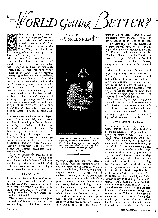*ORLD getting ETTER?*  IS THE



HEN in our own beloved country more people lose their lives at the hands of criminals annually than were killed in the bloodiest battle of the Civil War, the Battle of

Gettysburg; when crime among women has doubled during the past decade; when scientific tests reveal that more than one half of our American school children, when they are confronted with temptation, have an unethical outlook on life; when according to the editor of the *Ladies' Home journal,*  "more degrading books are published in a year now than came from the presses in a generation before the war"; when ex-Judge Landis remarks of the movies, that "the worst said has not been strong enough"; when a professional dancer, like Irene Castle, explains, "The present manner of dancing is simply unspeakable"; when marriage is having such a hard time keeping ahead of divorce—are we surprised that the question, "Is the world getting better?" has forced itself upon us.

There are many who are not willing to meet this question fairly and squarely for fear of becoming pessimists. But as stated by Van Dyke: "It is better to know the saddest truth than to be blinded by the merriest lie. . . . A hope which begins by denying the facts is a false hope whose path leads upward—a few steps—to the edge of a precipice of deeper despair." Col. John Temple Graves once said: "We would better be *truthful* pessimists, than optimistic liars."

It is not necessarily pessimistic to admit facts. I am very optimistic as to what the future holds for God's children, and look upon the facts to which I shall call your attention as constituting a strong basis for true optimism.

#### AN EMPHATIC No

QLet us now face the facts that answer our question. We will consider the subject under four heads: Is the world improving *physically?* Is the world improving *mentally?* Is the world improving *morally?* Is the world improving *spiritually?* 

The answer to the first question is an emphatic no! While it is true that the average length of life has increased,

 $\frac{1}{\sqrt{N}}$   $\frac{1}{N}$   $\frac{1}{N}$   $\frac{1}{N}$  $C_{\mathbb{L}}^*$  McLENNAN



*Crime in the United States is on an appalling increase. Thousands of peaceable men and women in recent months have been compelled to throw up their hands before a threatening reality like this.* 

æ

we should remember that the increase is realized from the minimum of life and not from the maximum. We are saving our infants, children, and youth largely through the suppression of epidemic diseases, but losing our adults at an age when they should be in their prime. Organic diseases due to vices and wrong habits of living show a decided increase. Fifty years ago, with a population of 50,000,000, we had 4,000 centenarians. Now we have 2,840. Let us now come to the second question. Insanity, indicating tissue degeneracy of the brain, has increased at

an alarming rate. In 185o, only 67

persons out of each i,000,000 of our population were insane. Today the figure stands at 250 out of too,000. At the present rate of the increase of insanity we will have one half of our population insane in seventy-five years. Dr. White, superintendent of the St. Elizabeth Hospital, in the District of Columbia, says: "Of all the hospital beds throughout the United States, every other one is occupied by a mental case."

Our third question,—Is the world improving morally?—is easily answered. At the present rate of increase, it will not be long until we will record a divorce for every marriage. It seems that we are practicing a sort of consecutive polygamy. The saddest feature of this evil is the fact that eighty per cent of the refractory children have a history of ruptured homes behind them.

The *Literary Digest* says: "-We have allowed ourselves to sink to lower levels of aspiration and endeavor. About us is a world of confusion and turmoil, and under the spell of a general moral laxity we are groping in the dark for the ray of light which we have not yet discovered."

#### FIVE HUNDRED PER CENT

**II** Think of the alarming increase of crime during past years. Statistics record an increase of soo per cent over a period of thirty years, or four times the increase in population. And "the trial of a criminal is like a game of chance with all the chance in favor of the criminal." Insurance rates on bank robberies and burglaries have increased in some sections from 33 per cent to 15o per cent. Crime is now costing more than any other item in our national ledger. And the most appalling fact connected with the flood of crime is that juveniles and women are so prominently involved. Judge Smathers, of the Criminal Court of Atlantic City, is quoted in the Philadelphia *Public Ledger,* as saying that 98 per cent of the crimes being committed throughout the country are the work of mere youths. Juvenile courts themselves are a modern innovation of about thirty years. The report of the Valparaiso Foundation, an authoritative research of education in all its phases, says: "Our institutions for the care of the juvenile delinquents, from whom most of the criminals come,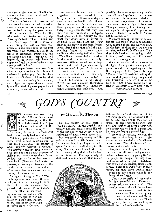are also on the increase. Hoodlumism and sexual immorality are believed to be increasing enormously."

The commissioner of correction of New York has made the rather startling announcement that crime among women has doubled during the past decade.

Do we wonder that Wade H. Ellis, who writes the introduction to Judge Kavanagh's book, "The Criminal and His Allies," says: "If the increase in crime during the next ten years shall progress in the same ratio as the past ten years have witnessed, and if the forces of repression, protection, and punishment are not strengthened and improved, the outlaws will have the upper hand and the case of order against disorder will be lost."

Can we expect better moral conditions when our youth are being fed a brand of modernistic philosophy that is absolutely diabolical—a philosophy that teaches that immortality is a delusion, and religion an exploded superstition? Is not that kind of philosophy reflected in our 20,000 annual suicides?

Our newsstands are covered with magazines that are steeped in sex. In 1926 the United States mail department refused to handle 226 different obscene magazines. The publishers sent them by express, and the public mind is today feeding upon the filth they contain. And when we think of the 1,500,-000 drug addicts in this country, and the effect that drugs have on moral responsibility, we behold another strong contributing factor to our moral breakdown. But I think that of all the contributing factors to present moral conditions, the movies hold first place.

We will now come to the last question: Is the world improving spiritually? Woodrow Wilson sensed to a large extent the drift of things, when shortly before his death, he said: "The sum of the whole matter is this, that our civilization cannot survive materially unless it be redeemed spiritually."

Harold J. Hamilton in the *Literary Digest says* our churches themselves "have become hotbeds of infidelity, higher criticism, and evolution." And

OOÈ

possibly the most outstanding revelation of lowered spirituality on the part of the church is its present relation to the Great Commission. Concerning this matter Stanley High declares that "foreign missions, from having been an agency of spiritual, regeneration . . . are doomed not only to failure, but to extinction."

We might sum up the matter by saying that the pulpit today is humanizing God, minimizing sin, and deifying man. In the light of these facts we are not surprised to hear H. G. Wells say, "The ship of civilization is not going to sink in five years' time, nor fifty years' time; it is sinking now."

When we consider these matters in the light of our great advantages, the picture is indeed an appalling one. In the language of Dr. Josiah Strong: "We have only to continue making the same kind of progress long enough, and! our destruction is sure." I know the: facts to which I have called your attention constitute a very dark picture

*(Continued on page 18)* 





برد

NE business man was telling another: "Our territory is east of the Mississippi, South of the Great Lakes, west of the Appalachians, and north of the Ohio—God's country."

And surely he outlined a wonderful land, but is it really God's country?

Not many years since a well-known author wrote a book in which was set forth the proposition: "No country is God's country without a woman." And certainly upon the ideals of womanhood are built the superstructures of civilization. Where womanhood is degraded, there civilization hesitates and turns back. There mankind makes no progress, or worse yet, descends to the depths of heathenism. But withal, it takes more than women to make any country God's country.

And again: During the World War the belligerents each claimed the special protection and smiling favor of the Ruler of the universe. Each prayed to the same God for victory over the other, an outstanding disgrace to Christianity. But the hysteria of war has passed with the years, and now no one accuses the Most High of taking sides in the war.

## $By$  Merwin<sup> $\mathcal{R}$ </sup>. Thurber

No one country- on this earth is "God's country" in the special sense usually intended, for. He sends His rain on the just and on the unjust. And the outbreaks of nature visit every land.

But God does have a country, and He tells us about it in His blessed word. In the first place, it is a large land, with space for all who dwell there, for He says, "Thine eyes shall behold the King in His beauty; they shall behold a land of far distances." The capital city of that land is more immense than human



builders have ever dreamed of—it lies *375* miles square. In that country there are no great oceans with their terrible storms, no great mountains with their sickening heights, no great deserts with their dreary wastes; but all is peace and joy and comfort and eternal light.

In spite of its wonders, however, the greatness of that land is not in the marvelous characteristics of its climate or its riches. The inhabitants of that country make it what it is.

First, there is the King on His throne, the Source of all power and glory and honor, the Giver of every good gift. And the people are unique, for they have been redeemed out of great tribulation, from every nation, kindred, tongue, and people. There is no guile found in their mouth, for they have washed their robes and made them white in the blood of the Lamb.

There is no strife and commotion in this beautiful land. Peace and plenty reign on every hand. The very<sup>g</sup>natures of the wild beasts have

been changed. Death is forever dead. Sorrow and sighing have passed away, and the inhabitants no more say, "I am sad," for they are dwelling at last in God's country.

 $\Delta$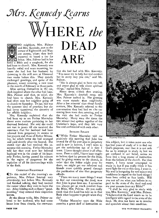$N$ rs. Kennedy Learns

## **HERE** *the*  **DEAD ARE**  WO neighbors, Mrs. Palmer, and Mrs. Kennedy, met at the corner of Eighteenth and Wascoe streets, where they both expected to board a car for

home. Mrs. Palmer had in her hand a Bible and a songbook, for she had been to church. Mrs. Kennedy was heavily veiled and wore mourning, because she had lost her husband by drowning in the mill race at Elmwood two weeks before this. They quietly exchanged greetings, and spoke of the pleasant, sunny morning, a rare treat *in* the month of February in those parts.

After seating themselves in the car, each inquired where the other had been. Mrs. Palmer said that, as usual, she had been to church. Mrs. Kennedy had often seen her neighbor going off to church on Saturday. To her, this *was*  the queerest kind of practice; but she had never questioned the sincerity of her affable neighbor.

Mrs. Kennedy explained that she had been up to see Father Macaulay about some matters pertaining to her deceased husband. She said she could not rest in peace till she received the assurance that her husband had been released from purgatory in answer to her prayers and those of Father Macaulay, for which latter she had arranged and paid shortly after the funeral. She stated that she had received this assurance this morning. Father Macaulay told her that even now her beloved husband was in the abode of his heavenly Father, having passed his sojourn in the region of purgatory for the expiation of all his shortcomings while in the flesh.

#### CHRISTIAN FRIENDSHIP

(To this recital of the morning's experience, Mrs. Palmer listened very attentively; but before *Mrs.* Kennedy had finished talking, they had reached the corner where they were to leave the car. After bidding each a cheery "goodmorning," they entered their respective homes.

At the dinner table, Mrs. Palmer related to her husband, who had come home later from church, the conversation she had had with Mrs. Kennedy. "You must try to help her and comfort her in every way you can," said Mr. Palmer.

"She is always glad to have me call, and seems glad to talk about spiritual things," replied Mrs. Palmer.

About seven o'clock that evening, Mrs. Kennedy's doorbell rang; and Mrs. Palmer walked in. Her greeting was more sisterly than neighborly. After a few minutes' chat about family matters, Mrs. Kennedy referred to the conversation they had had on the car *coming from* town that morning, and to the visit she had made to Father Macaulay. Many were the times the *two* women had spoken together *of* the Christian's hope, and they felt very free and confidential with each other.

#### SEEKING SOLACE

("While Father Macaulay told me positively this morning that John has atoned for all his past sins in purgatory and is now in heaven, I can't seem to get the satisfaction out of it that I want. I have thought about it all afternoon. From a child, I have been taught to believe that by prayers for the dead, and by giving money to the church, in order that the father might pray for them, we might get our relatives and friends more quickly passed through the purification of sins that purgatory affords.

"There are many more things I want to find out concerning the dead, now that John is gone from me. I remember you always get so much comfort from the Bible, Mrs. Palmer, Do you really think that the Lord has told us in that Book what happens to people when they die?

"Father Macaulay says the Bible contains a great deal of instruction on



*Keystone View Co.* 

this subject, but it takes some one who has had years of study of it to find out God's purposes, and that it is not safe for us to attempt to study it, lest we get confused in our belief, unless we have had a long course of instruction from the fathers of the church. For that reason, I have never attempted to study it; but if you really think it has some light for me at this time, I want it. My soul is hungering for real solace and confidence in regard to the hard things I have been called to face lately. Will you not tell me what you believe in regard to the state of the dead and read me your reasons from my Bible?"

"I shall be very glad to study with you, Mrs. Kennedy," said Mrs. Palmer. "I believe that the Lord wants us to be *intelligent* with regard to.the state of the dead. He does not leave us to wonder and speculate about their condition.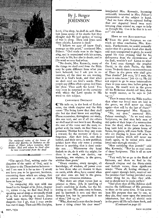

*The supposed ruins of the house of Mary and Martha in Bethany on the slopes of Olivet, where Lazarus, their brother, died and where he lived after he was resurrected from the dead* 

"The apostle Paul, writing under the direction of the spirit of God, said in his letter to the Thessalonian believers and I am sure it is for us too-'I would not have you to be ignorant, brethren, concerning them which are asleep, that ye sorrow not, even as others which have no hope.'

"In comparing this text with one found in the Gospel of St. John, chapter II, verses 11-14, we find that Paul is speaking not of sleep as we usually think of it, but is referring to death. Jesus 'saith unto them, Our friend Lazarus sleepeth; but I go, that I may awake him out of sleep. Then said His disciples,

## By J. Berger **JOHNSON**

Lord, if he sleep, he shall do well. Howbeit Jesus spake of his death: but they thought that He had spoken of taking of rest in sleep. Then said Jesus unto them plainly, Lazarus is dead.'

"I believe we may all know God's message on this point," continued Mrs. Palmer. "God made man in the beginning, and is acquainted with his nature, not only in life, but also in death; and in His word we may find solace.

"No doubt, Mrs. Kennedy, many of the things we shall read from the Bible may be quite different from what you have believed; but I ask you to remember, all the time we are reading, that it is God's book, and that what we shall read are God's words. What people say differs often a great deal from the plain 'Thus saith the Lord.' You may even be surprised at the certainty with which the Lord speaks in His word on this subject.

#### CONSISTENT DOCTRINE

("He tells us, in the book of Ecclesiastes, the ninth chapter and the fifth verse: 'The living know that they shall die: but the dead know not anything.' Please remember, throughout our study, this one text, and see if all the others we shall read do not bear it out. Reading the rest of the verse and the next, together with the tenth, we find these expressions: 'Neither have they any more a reward; for the memory of them is forgotten. Also their love, and their hatred, and their envy, is now perished; neither have they any more a portion forever in anything that is done under the sun. . . . Whatsoever thy hand findeth to do, do it with thy might; for there is no work, nor device, nor knowledge, nor wisdom, in the grave, whither thou goest.'

"Every emotion, every thought, all knowledge, all wisdom, all 'power even to love those who are dearest to-them on earth, while alive, have ceased when our dear ones are laid in the grave. They cease conscious existence.

"But there are other verses just as pointed as these. Job, in speaking of man's condition in death, has the following to say: 'His sons come to honor, and he knoweth it not; and they are brought low, but he perceiveth it not of them.' Job 14: 21."

"Why, that really says that he doesn't know a thing about his dear ones!"

interjected Mrs. Kennedy, becoming noticeably interested in Mrs. Palmer's presentation of the subject in hand. And we have always enjoyed feeling that our departed loved ones were hovering close around us, eager to help us through life. Can it be that it is not so?" she asked.

#### HOPE OF THE RESURRECTION

("From the plain Scripture we can reach no other conclusion, Mrs. Kennedy. Furthermore, we would naturally expect that if a person lived after death and were transported to glory, he would spend his time praising God for his deliverance from the encumbrance of the flesh, wouldn't we? Listen to what the Lord says through the prophet David, in the sixth Psalm, the fifth verse: 'In death there is no remembrance of Thee: in the grave who shall give Thee thanks?' Job says, 'If I wait, the grave is mine house.' Job 17: 13. He did not expect to go to some intermediate place to pass some time before going to heaven. He would wait in the grave till his Redeemer should call him; then he would answer, as he says in job 14:15."

"Then it seems that the Bible teaches that when our loved ones are laid in the grave, we shall never see them again—that will be the last of them?" quickly interrogated Mrs. Kennedy.

"No, my dear," answered Mrs. Palmer assuringly. "As we read other Scriptures, we find that holy men of old spoke of their hope of a resurrection from the dead, when those who have long been held in the prison house of Satan, the grave, will come forth. Those who are sleeping in Jesus will arise in renewed bodies, which will never see death again, to be united with their loved ones through eternity."

"How satisfying that sounds!" said Mrs. Kennedy. "But let us read some of those Scriptures. This is all so new to me!'

"Very well; let *us* go to the Book of Hebrews, and there we find in the eleventh chapter and the thirty-ninth and fortieth verses, these significant words: 'These all, having obtained a good report through faith, received not the promise: God having provided some better thing for us, that they without us should not be made perfect.'

"God plans that all His children shall receive the fulfillment of His promises to them at the same time. It has never been His purpose that one by one, as they die, they enter upon the promised inheritance, but that all should wait in the grave till He calls them forth, and *(Continued on page 17)*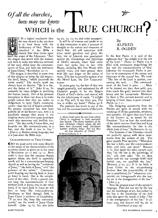## *Of all the churches, how may we Know*   $W$ *HICH* is the  $\triangle$ RUE CHURCH<sup> $'$ </sup>



*T* IS a logical conclusion that the true church is the one that is in least favor with the Archenemy of God. There is described in the Bible a church that thus draws upon itself the anger of the Adversary. "And the dragon was wroth with the woman, and went to make war with the remnant of her seed, which keep the commandments of God, and have the testimony *of* Jesus *Christ."* Revelation 12: 17.

The dragon is described in verse nine of this chapter as being the old serpent, the devil, Satan, "which deceiveth the whole world." The devil's work has always been to deceive. "He is a liar, and the father of it." John 8:44. So naturally he takes delight in deceiving the human family. One of his greatest deceptions in these last days is to make people believe that they are under no obligations to keep God's commandments—that the law of God is annulled. No greater deception has ever been palmed off on the human race. And it is peculiarly strange that many *in* the religious world and even some preachers teach this erroneous and devilish doctrine. "He that saith, I know Him, and keepeth not His commandments, is a liar, and the truth is not in him." John 2: 4. Rather strong language, but it is just what the Bible says.

#### CHARACTERISTICS OF TRUE CHURCH

QBut we must come now more directly to the study of the characteristics of the remnant church as given us in our texts of Revelation 12: 17 and 14: 12. Both make it clear that the remnant church *against* whom the devil is especially wroth will be a commandment-keeping church as well as having the "testimony of Jesus," "the faith of Jesus," and " the patience of the saints." Commandment keeping and having faith in Jesus go hand in hand. One is the complement of the other. Truly a person cannot keep the commandments of God without faith in Jesus; and on the other hand, if we have faith in Jesus we will love to keep His commandments. Obedience to God through faith in Jesus Christ is evidence of discipleship. "If ye love Me, keep My commandments," are the *words of Jesus Christ*  himself. (John 14: Is. See also John

14: 21, 23; 15: ro, and other passages.)

It will be of interest and profit to us in this connection to give a moment of thought to the nature and character of God's law. All will remember with what awful grandeur and glory the holy law of Jehovah was proclaimed amidst the thunderings and lightnings of Sinai's summit, when God came down and spoke face to face with Moses, declaring His Ten Words with audible *voice, and* then penned them with His own finger on the tables of stone. This law is generally spoken of as the Moral Law, the Ten Commandments.

In years gone by, the law of God was taught generally, and understood by all Christian people to be the Magna Charta of God's divine and eternal will for the inhabitants of earth. "I delight to do Thy will, Q my God: yea, Thy law is within my heart." Psalm 4o: 8.

The psalmist has much to say of the law and the commandments of the Lord. ≕≜≕

*A shrine built upon the spot from which Christ is supposed to have ascended into heaven. The eleven members of the first Christian Church whom He left there have increased until Christians number millions today. But are they all true followers of Christ?*   $By Ewing$ <sup>Galloway</sup>, N. Y.



### By ALFRED R. OGDEN

In the first Psalm it is said of the righteous that "his delight is in the law of the Lord." (Verse a.) Psalm 119 is filled with statements magnifying the law and the commandments of God. Likewise the nineteenth Psalm is profuse in its statements of the nature and character of the eternal law. We read: "The law of the Lord is perfect, converting the soul. . . The commandment of the Lord is pure. . . . More to be desired are they than gold, yea, than much fine gold: sweeter also than honey and the honeycomb. Moreover by them is Thy servant warned: and in keeping of them there is great reward." Psalm 19: 7-11.

The foregoing statements from the Psalms are quite in accord with the teachings of all the patriarchs, prophets, and apostles, All *agree* that man's duty to his Creator is, as stated by the Preacher: "Let us hear the conclusion of the whole matter: Fear God and keep His commandments: for this is the whole duty of man." Ecclesiastes 12: 13.

The founders of the Christian church are perfectly agreed with these statements from the writers of old. The great apostle Paul declares: "Wherefore the law is holy, and the commandment holy, and just, and good." Romans 7: 12. And again the same apostle says that "by the law is the knowledge of sin," and then asks: "Do we then make void the law through *faith?* God forbid: yea, we establish the law." (Romans 3:20, 31.) It is by faith in Jesus Christ as the sin-pardoning Saviour that the immutability of the law is established; for "whosoever committeth sin transgresseth also the law: for sin is the transgression of the law." John *3:* 4.

Note the present tense of the apostle's language. Paul did not *say* by the law *was* the knowledge of sin, but rather by the law *is* the knowledge of sin. And with this agree the words of John: "Sin *is* the transgression of the law." It always was, *and forever* will be, sin to *(Continued on page 19)*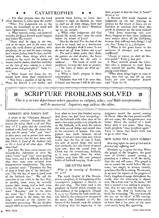## CATASTROPHES

1. For what purpose does the Lord  $\mathcal{F}$  allow disasters to come upon the earth?

"When Thy judgments are in the earth, *the inhabitants of the world will learn righteousness."* Isaiah 26: 9.

2. What natural, social, and personal troubles did Jesus foretell would happen just before His return?

"There shall be signs *in the sun,*  and *in the moon,* and *in the stars;* and upon the earth *distress of nations,* with *perplexity; the sea and the waves roaring; men's hearts failing them* for fear, and for looking after those things which are coming on the earth: for *the powers of /›.\_ heaven shall be shaken.* And *then shall they see the Son of man coming* in a cloud with power and great glory." Luke 21:

25-27. 3. What lesson did Jesus say we should learn from these experiences? "Now learn a parable of the fig tree;

When his branch is yet tender, and 义

putteth forth leaves, ye know that summer is nigh: so likewise ye, when ye shall see alt these things, *know that He is near,.even at the doors."* Matthew 24: 32, 33, margin.

4. What other judgments did God foretell He would send upon the earth before the return of Jesus?

"Alas for the day! For the day of the Lord is at hand, and as a destruction from the Almighty shall it come. Is not *the meat cut of* from before our eyes? .. *The seed is rottem* under their clods, *the garners are laid desolate,* the barns are broken down; for *the corn is withered. . . .* The herds of cattle are perplexed, because *they have no pasture. . . The rivers of waters are dried up."*  Joel I: 15-20.

5. What is God's purpose in these catastrophes?

"Therefore thus will I do unto thee, 0 Israel: and because I will do this unto thee, *prepare to meet thy God, 0 Israel:"*  Amos 4: 12.

6. Because God sends disasters as judgments on sin and warnings to. prepare for the return of Jesus, are we therefore to conclude that those who perish in disasters are the most wicked?

"And Jesus answering said unto them, Suppose ye that these Galilæans. were sinners above all the Galilæans, because they suffered such things? *I tell you, Nay."* Luke 13: z, 3, first part.

7. What is the great lesson to the survivors of disasters and to those unafflicted?

*"Except ye repent,* ye shall all likewise perish." Verse 3, last part.

8. What attitude should the Christian who is prepared to meet Jesus take toward the terrible things happening everywhere?

"When these things begin to come to pass, *then look up, and lift up your heads; for your redemption draweth nigh."* Luke 21: 28.

#### **ME SCRIPTURE PROBLEMS SOLVED** 37

*This is a service department where questions on religion, ethics, and Bible interpretation will he answered. Inquirers may address the editor.* 

#### SABBATH AND LORD'S DAY

 $\hat{\mathfrak{T}}$ .

A *writer in the "Christian Advocate" (Methodist) criticizes Seventh-day Adventists for using Mark 2: 28 and Matthew la: 8 to prove that the seventh-day Sabbath is the Lord's day. He claims they leave out the words "also" and "even" in these verses and so pervert their meaning; and asserts that the texts mean only that Christ is Lord of the Sabbath only as He is Lord of all other days. What about that?* 

Just this; We have never known any Seventh-day Adventist to omit the words "even" and "also" when quoting these texts, and it is difficult to believe that they were ever omitted from interpretative consideration. The texts in question read: "Therefore the Son of man is Lord also of the Sabbath." and "For the Son of man is Lord even<br>of the Sabbath day." We call the of the Sabbath day." attention of our critic to the fact that, in quoting these texts, he actually quotes them wrong, and in both cases omits the first word, in one case the word "therefore" and in the other the word "for." These also are important words in the texts; for they direct attention to the context immediately preceeding. We say *therefore*  and for when we are drawing conclusions

from what we have just finished saying. And Jesus has just been comparing not the Sabbath with other days of the week—but what people may properly do on the Sabbath, with what the priests did with sacred things and sacred time in the sanctuary or temple. The comparison was made between sacred *things* of old and sacred *time* now. Christ meant that the Son of man is Lord, not only of sacred *things* and sacred time anciently, but *also* (even) of sacred time *now.* And the sacred time for Christ was the seventh-day, Sabbath, as is very evident from the whole incident and from His own personal habits of Sabbath keeping. (Luke 4:16.)

#### THE LITTLE BOOK

#### *What is the meaning of Revelation .ro: 9-111*

The tenth chapter of The Revelation is a prophecy of the beginning of the investigative judgment in heaven in the year *1844.* The little book is the prophecy of Daniel which contains the time-forecast of the judgment. (Daniel 8: 14; 9:25.) Eating the book would signify belief in the prophecy on the part of the eater. (See Jeremiah is: 16.) Believers of the forecast made the mistake of thinking that the beginning of the

judgment meant the second coming of Christ. After the time passed and He did not come, the disappointment was bitter, Hence the symbol of a book bitter after it was eaten. After 1844, God's prophets "must prophesy again." Verse II shows that God's work was to go on after 1844.

#### HOW LONG TILL JESUS COMES?

#### *How long before the work of God will be finished and suf fering end?*

Matthew 24: 14 gives the clue. When the gospel of the kingdom, the good news of Christ's second coming, is preached as a *witness* in all the world, then the end will come. The gospel is not to *convert* the world before He can come, but simply to witness (testify, proclaim) that He is coming. We are sure, as we note the reports of the progress of God's kingdom-message throughout the world, that the witnessing is almost over. He is even now "at the doors." All that is needed is our stirring in preparation, that we may open the door. And we open the door by hastening to finish the witnessing. "No man khoweth the *day* nor the hour" of His coming: but the evidence of world events makes us know that a few years at the most must surely bring His appearing.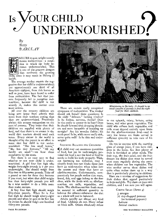# UNDERNOURISHED. Is VOUR CHILD

*By Betty BARCLAY* 



AILLIRE to gain weight usually means malnutrition—a condition in which the body becomes undernourished. This is one of the greatest dangers that confronts the growing hild, since it may result in lifelong ill

health. The average mother resents the suggestion that her child is undernourished; yet approximately one third of all American children, from rich homes as well as poor, have been found to suffer from malnutrition. The fact that parents frequently fail to recognize malnutrition, because the' child is not acutely ill, makes this matter even more serious.

All over the country children are being sent home from schools with notes from their teachers stating that they are undernourished. Practically always this arouses antagonism on the part of parents. They insist that their children are supplied with plenty of food, and that there is no reason in the world that teachers should send such notes. Every excuse in the world is thought of by the parent in an effort to insist that her child is not undernourished. "She has small bones," "She has tiny features," "All my family are small "—we hear these statements by the score.

Yet there is an easy way to find whether or not your child is undernourished. -A girl four feet high who weighs forty-eight pounds is 7 per cent underweight. She should weigh from fifty-two to fifty-seven pounds. Take off a pound or two for those tiny features if you must, but when that child weighs less than forty-eight pounds you will be a wise mother to do a little more than make excuses.

A boy four feet high should weigh fifty-three pounds. When he is five feet high he should weigh ninety-eight pounds and when he gets to be five feet six inches he should weigh one hundred thirty-one pounds.



There are certain easily recognized symptoms of malnutrition. The mother should ask herself these questions: Is the child "delicate," lacking vitality? Is he listless, nervous, fretful? Does he tire easily or appear to be lazy? Does he slouch forward with drooping shoulders and seem incapable of standing up straight? Are his muscles flabby; his teeth poor? Is he, while never really sick, never quite well? Is he thin and underweight?

SECURING BALANCE FOR CHILDREN

QA child may eat enormous quantities of food, but yet be underweight, provided the food is not the kind of food he needs to build his body properly. Without becoming too technical, may I classify foods into two kinds: those that have an acid-reaction when taken into the system and those that have an alkaline-reaction. Unfortunately, comparatively few people realize that meat, bread, fish, and eggs belong to the first class, while the foods with an alkalinereaction are milk, vegetables, and fruits. The alkaline-reaction foods must be secured in sufficient quantity to balance the others—otherwise the diet as a whole will not be balanced.

Adults usually eat almost any kind of food. Children do *not.* Many refuse to drink milk. Others absolutely refuse

*Ministering to the baby. It should be no small concern of parents to find the right food for their children.* 

•

to eat spinach, celery, lettuce, string beans, and other green vegetables. The child who refuses both vegetables and milk must depend entirely upon fruits for the alkaline-reaction food—and in very few homes are fruits served in sufficient quantity to take care of his needs.

Do not be content with the morning glass of orange juice, if you have children in the home. See that plenty of fruit is furnished at other meals. The fruit cup, the fruit salad, and the fruit dessert are dishes that must be served even more regularly during the years when children eat few vegetables. The wise mother serves these dishes and quite often makes them up in a way that is particularly pleasing to children.

I

Here are a number of suggestions for fruit dishes that appeal particularly to boys and girls. Try them on your own children, and I am sure you will agree.

CIRCUS SALAD *(Serves* 

3 oranges  $1/2$  cup chopped peanuts (or buttered popcorn) Lettuce Animal crackers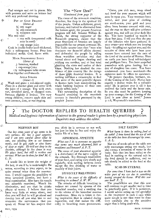Peel oranges and cut in pieces. Mix with peanuts and serve on lettuce leaf with any preferred dressing.

- Pot of Gold Dessert *(Serves 4)*   $\frac{1}{2}$  cup sugar
	- $\frac{1}{4}$  cup cornstarch
	- 1/<sub>8</sub> teaspoon salt
	- Mix and add:
		-

糸

导会

E.

Ç.,

ğ.

- I cup milk (evaporated milk may be used)
	- 1 cup orange juice

Cook in double boiler until thickened. Add: 2 tablespoons butter. Pour into individual molds. Cool. Serve with:

MOCK STRAWBERRY SAUCE

- *(Serves 4)* 
	- 3 bananas, mashed
	- cup orange juice

 $1\frac{1}{2}$  tablespoons table cream Beat together until smooth.

> APPLE STRAWS *(Serves 1)*

Wash and grate I red-skinned apple. Place in a sherbet glass and cover with the juice of I orange. Top with coconut, shredded dates, or chopped nuts. Sweeten slightly if desired. For very young children, remove apple skin and omit coconut, date, or nut topping.

## The "New Deal".

*(Continued from page 7)* 

The cause of the economic condition, therefore, lies deep in the spiritual life of the people. Unless selfishness, greed, jealousy, and hatred be eliminated from the human spirit, the present American program will fail. Senator William E. Borah, the strong supporter of the Roosevelt program, claims that the great financiers of America are largely responsible for our present economic ills. The Idaho senator says that "men who dominate our financial affairs cheated and defrauded the people by selling them worthless securities and then turned about and began cheating and -robbing one another, and at last tried cheating the state and nation of their taxes. Nothing has shocked the confidence of this country like the doings of these great financial leaders. It is nothing less<sup>e</sup>than a catastrophe to find that some of the most powerful figures in finance have been manipulating the whole banking business to their own utterly selfish ends."

This outstanding description of the financial condition in the twentieth century is forcefully portrayed by the prophet James:

"Come, you rich men, weep aloud and howl for your sorrows which will soon be upon you. Your treasures have rotted, and your piles of clothing are moth-eaten; your gold and your silver have become covered with rust, and the rust on them will give evidence against you, and will eat your flesh like fire. You have hoarded up wealth in these last days. I tell you that the pay of the laborers who have gathered in your crops—pay which you are keeping back—is calling out against you; and the outcries of those who have been your reapers have entered into the ears of the Lord of the armies of Heaven. Here on earth you have lived self-indulgent and profligate lives. You have stupefied yourselves with gross feeding; but a day of slaughter has come. You have condemned—you have murdered—the righteous man: he offers no resistance.

"Be patient therefore, brethren, until the Coming of the Lord. Notice how eagerly a farmer waits for a valuable crop! He is patient over it till it has received the early and the latter rain. So you also must be patient: keeping up your courage; for the Coming of the Lord is now close at hand." James 5: 1-8, Weymouth's translation.

The DOCTOR REPLIES TO HEALTH QUERIES *Medical and hygienic information of interest to the general reader is given here by a practicing physician. Inquirers may address the editor.* 

#### NERVOUS BOY

Our *boy seven years of age seems to be very nervous. He has a good appetite, and I am very careful about what he eats, not allowing him to eat between meals, and he gets eight or nine hours of sleep at night. He will not sleep in the daytime, although he lies down to rest. He plays hard, but still is restless and nervous. What can be done for him? M. C. L. N.* 

 $\mathbb{R}^+$ I would like to know the weight of the boy, to see if he is underweight. He seems, according to your report, to be quite normal other than the nervousness. I would suggest the possibility of some intestinal parasite, and have a fecal examination. Also have his tonsils and adenoids examined. Watch his elimination, and see that he drinks plenty of water. I believe that you have very little to worry about, and that you will find he will go ahead and develop into all you wish him to and overcome the nervousness that you speak of. Never let him suspect that

MAY, 1934

you think he is nervous or not well, but just let him be free and enjoy the active life of a boy.

#### ABNORMAL APPETITE

*What can I do to overcome an appetite that seems very much abnormal, both at mealtimes and between? A. P. T.* 

The cause of your abnormal appetite is a disturbance of the nerve supply of the stomach, Try thorough mastication of your food, and eating very slowly and regularly, with nothing between meals except the free drinking of water or possibly of fruit juices.

#### DIFFICULT BREATHING

*What is the cause of the difficulty of breathing in asthma? A. W. W.* 

The attacks of difficult breathing in asthma are caused by spasms of the bronchial muscles, and a swelling due to the edema of the bronchial mucous membranes. More air is taken in during inspiration than is exhaled during expiration, and that makes the difficulty in breathing more pronounced.

#### SALT EATING

*What harm is there in salting food at the table? I have heard that the. use of salt at the table has been discouraged by some. S. A.* L.

The use of much salt at the table not only encourages eating too much, but also causes a retention of water in the body. Salt that has been added to the food in cooking or the natural salt in the food should' be sufficient, and no salt should be added to the food at the table.

#### SCAR ON EYEBALL

*For some time I have had a scar on the white part of my eye due to something having scraped the tissue. Will this scar ever heal? F.* 7.

The possibilities are that this scar will continue to get smaller and in time be practically gone. If it is ,persistent, I would advise seeing an eye specialist as the treatment in such a case while quite simple is one that must be done very carefully due to the sensitive organ that is being dealt with.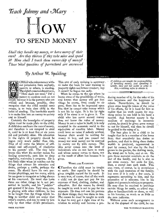

*Shall they handle my money, or have money of their own? Are they thieves if they take mine and spend it? How shall I teach them ownership of money? ' These rbital questions of parenthood are answered* 

## By Arthur W. Spalding



CHILD who takes money without permission from anybody, parents or others, is stealing. The eighth commandmen tsays, "Thou shalt not steal." For a

 $\delta$  parent to condone such an act simply because it is the parents who are robbed and because, possibly, they recognize that the child needed some money, is to train that child in the habit of stealing. The inevitable result is to make him into an enemy to society and to himself.

Certainly the boundaries of property *rights must* be made plain *to* the child. A child does not learn the uses of money, and therefore is not tempted to steal it, until he is at least five or six years old and probably older. His education in the rights of property should be begun very much earlier than this. First of all come the lessons of selfdenial and self-control, of obedience to his parents' will. The tiny babe learns this when his mother makes his *feeding* systematic, puts him to sleep regularly, maintains a program. He is but little older when he reaches out for things that attract his attention and desire, perhaps a rattle, perhaps the moon. He should have his own particular playthings, not too many, which he can grow to recognize as being always *at* his command. He must also learn there are other things he is not permitted to handle, and his "paddies" get spatted if he does. Very soon, also, in playing with other children, he has to be taught that the things which belong to another child are under that other's control, and can be used by him only by that other child's permission.

This sort of early training is necessary. to make the basis for later training in property rights and honest conduct, and it *cannot* be begun *too* early.

When he comes to the age where he learns some of the possibilities of trade, and knows that money will get him things he covets, from candy to air guns, there has to be impressed upon him that he cannot take money which is not his by right. It is his by right only if he earns it or is given it. The child who has never earned money does not know the value of money. Money is not a value in itself; it is only accepted in the economic world as the equivalent of creative labor. Money could have no value if nobody worked, because there would be nothing for money to buy, and you cannot eat money nor wear money nor be warmed by money nor fly with money. This idea never comes into the head of individuals who do not have to work and whose money comes to them, not as the result of effort but because it is given.

#### WORK AND EARNINGS

QTherefore the child must be taught to work. But equally he should be given tangible reward for his work. It is very true, of course, that all the work a child can do does not pay for his expenses of food, clothing, shelter, and education. But the reason he should be taught to work is not to pay for his expenses. He does not owe his parents for these things; they owe them to him. The reason he *must* be taught to work is that he may get a right view of his relation to society and become a pro-



*If children are taught the responsibility of handling money, and spending it wisely, they are not liable to come to this, robbing safes to obtain it.* 

≕≏

ducing member of it, for the sake of his own happiness and the happiness of others. Nevertheless, he should be given some tangible token of the value of his efforts, for it is hard for him to realize that his work counts for anything unless he can hold in his hand a reward. And because money is the medium of exchange in economic society, he should be *given* some money to use for himself, and then he should be guided in the using of it.

The best plan is for a child to be taught that he is a member of the home firm; that everybody has duties to perform, and that in doing these duties wealth is produced, represented in part by money, but also by the food grown in the garden, the clothing made, the wood cut to burn, and so on. He gets these material comforts as do the rest of the family, and he is also to get some money. Set aside for him, then, a stated sum each week. This sum must, of course, be in accordance with the cash resources of the family; but even if it is only a few cents, it represents something to him, and the possession of it educates him in his rights and powers in relation to property. He may then be required to purchase certain things he needs, as school supplies or handkerchiefs or shoes, as well as his luxuries, as much or as little as the sum indicates.

Without some such arrangement to be at the disposal of the child, he can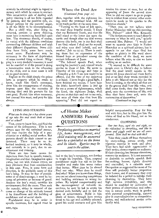scarcely be educated aright in regard to money with which he comes in contact. This constructive side of dealing with petty thieving is all too little regarded *4-* by parents, and the punitive side, enforced perhaps by the parents' anger, is all too likely to be overemphasized.

But a child who, after being instructed, persists in petty thieving, must have a restraining hand laid upon him. The treatment should, of course, be varied with the different conditions surrounding different children and with their different dispositions. Some children have little, some have much, moral sense. Punishment may be necessary in the form of. deprivation of some coveted thing or favor. Whip: ping is a very doubtful resource; it need  $5^{\circ}$ not be resorted to if the parentis doing a constructive work in the education of the child, and in most cases it will do no good anyway.

爹

ん

ا پاک

 $\rightarrow$ 

Explain to the child simply the prime laws in property which he needs to know, teach him God's command, show him the consequences of stealing, impress upon him the necessity of obeying God and his parents for his own good. Punish him when necessary, but counsel him most, and pray for him always.

#### LYING AND STEALING

*What can be done for a boy eleven years of age who lies and steals both at home and at school?* 

First, come to know him, and find the causes of his delinquency. This is not always easy for the untrained parent, and may require the help of a psychiatrist or a skilled social worker. But parents should do their utmost to un-<br>derstand. There may be an in-There may be an inherited tendency, or it may be wholly, and certainly is in part, due to environment and training.

There are two basic causes for departure from fact in speech; namely, imagination and fear. Imagination spins yarns, but not with vicious intent; we may eliminate that from consideration in this case. Fear, in some form and direction, is the probable cause of this boy's lying. It may be fear of punishment or of disadvantage; it may be because of privation or because of greed. Analyze the boy's mind; consider his environment; find the cause. Then seek the remedy, either in removal of the  $3\frac{3}{2}$  cause or change of his attitude toward it by friendliness and the building of confidence and of social ideals.

Punishment may be in order in specific instances, but regard must be

Φ.

#### Where the Dead Are

*(Continued from page' II)* 

then, together with the righteous living, enter the promised land. All are to be made perfect at the same time.

"Turning to the book of Job again, we read these hopeful words: 'I know that my Redeemer liveth, and that He shall stand at the latter day upon the earth: and though after my skin worms destroy this body, yet in my flesh shall I see God: whom I shall see for myself, and mine eyes shall behold, and not another.' Job 16:25-27. There is nothing there but an expression of the blessed hope so prevalent among the ancient followers of Jesus.

"The beloved apostle Paul, when nearing his journey's end, uttered words similar to those of Job. He wrote to Timothy of his courage and hope in 2 Timothy 4:6-8: 'I am now ready to be offered, and the time of my departure is at hand. I have fought a good fight, I have finished my course, I have kept the faith: henceforth there is *laid up*  for me a crown of righteousness, which the Lord, the righteous Judge, shall give me at *that day:* and not to me only, but unto all them also that love His appearing.' Paul did not expect to did not expect to (Continued on page 19)

receive his crown at once, but at the appearing of Jesus the second time. That he did not expect to go to purgatory is evident from several other statements he made in his epistles to the Christian church."

"Then you do not believe what Father Macaulay told me this morning, Mrs. Palmer?" asked Mrs. Kennedy.

"The Scriptures seem to teach directly contrary to what he told you," quietly answered Mrs. Palmer. "I would not want to unsettle your faith in Father Macaulay as a spiritual adviser; but it appeals to me that since God has spoken so plainly in His word about the condition of the dead, we must believe what He says, or else we have nothing as an anchor.

"It seemed to be difficult for some people even in Christ's day to believe that the dead would remain in the graves till Jesus should call them forth; and so we find these words recorded in John 5: 28: 'Marvel not at this: for the hour is coming, in the which *all* that are in the graves shall hear His voice, and shall come forth; they that have done good, unto the resurrection of life; and they that have done evil, unto the resurrection of damnation.'

*(Continued on page 19)* 

## $\mathscr A$ Home Maker ANSWERS Parents' **OUESTIONS**

*Perplexing questions on married life, home management, and child training will be answered here by a specialist on the home and its ideals. tueries may be sent to the editor.* 

had to the boy's complexes, not further to tangle his impulses. Thus, corporal punishment might but add to his fear complex and make him worse rather than better. What does he lie about? Find out why. What does he steal? And why? When you know these things, you can set about removing temptations and building resistance to wrong impulses. By helpful companionship and the encouragement of valuable incentives, he may be led to attain his desired ends lawfully and to feel the glow of achievement. Build in him ideals of honor, through hero stories fitted to his age and carefully selected; guard his social contacts and give him

helpful companionship. Pray for him and with him; but in this give him the vision of God as his friend, not as his condemner.

#### CLOWNING

*Our two boys, aged six and eight, see the ridiculous in everything, and like to clown and giggle until we are all exasperated. How shall we deal with this?* 

Take their minds off from themselves by story-telling, nature study, and vigorous exercise in work and play. They have had adult appreciation of their antics; clowns require an audience. If their clowning has become obnoxious, remove the audience. It is not necessary or desirable to entirely squelch their fun-making; humor, rightly directed and controlled, is a valuable asset Occupation as suggested for most of the time will probably better proportion their humor, and if necessary they may be isolated for a period to indulge their clowning by themselves. They have high nervous irritability, and this should be modified by cultivation of their powers of observation and reflection in nature study, work in garden with parental companionship, natural play in contradistinction to competitive games, and well-selected stories artistically told.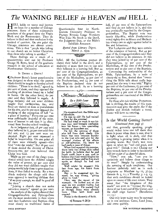## *The* WANING BELIEF *in* HEAVEN *and* HELL

HELL holds no terror and heaven<br>no hope for a number of Chicago no hope for a number of Chicago ministers. Some of these midwestern preachers of the gospel deny the Virgin Birth and the *Resurrection.* They do believe in God and that evolution is the method of creation. On one point the Chicago ministers are almost unanimous. This is that "people who belong to our church are no better Christians than those who belong to another."

These findings are a' result of a questionnaire sent out by Professor George H. Betts, head of the graduate research in the school of education at Northwestern University.

#### IS THERE A DEVIL?

**I** Professor Betts's latest questionnaire was designed to show what the pastors think should be taught to Sunday-school children. "There is no devil," agreed 54 per cent of them, and they opposed the teaching of doctrines based on a belief in Satan. On the other hand, 6o per cent said they believed in angels. A large majority did not want children taught that earthquakes, fire, and flood are visited on man as punishment for his *sins,* and So per *cent* opposed the teaching of the conception of hell "as a place of burning." Forty-one per cent were sufficiently doubtful of the existence of heaven to ask that it be eliminated from Sunday-school teaching.

As to judgment day, 48 per cent said they believed in it, 39 per *cent said* they did not, and 13 per cent were undecided. Eight per cent expressed a belief in immortality. On one point all of them were virtually agreed—that God "runs the world." But 26 per cent of them denied the divinity of Christ. Seventy-two per cent believed that Christ was God.

While 99 per cent of the clergy questioned would have the children taught the value of prayer, 95 per cent said they did not want children taught that 'prayer would help them to pass examinations, if they failed to study. By a twothirds majority the clergy said they were opposed to teaching children that "if we pray enough, we shall be good all the time.

"Joining a church does not make salvation certain," agreed 99 per cent.

An analysis of the replies showed that Congregationalists and Episcopalians are the most modernistic in their views and that Lutherans and Baptists cling most closely to traditional *forms of*  Questionnaire Sent by Northwestern University Professor to Pastors Reveals Large Numbers Who Take No Stock in the Devil, the Judgment Day, or the Bible's Infallible Accuracy.

*.Quoted from Literary Digest, March 3, 1934.* 

#### 43"AlitP°

belief. All the Lutheran pastors declared their belief in the devil, and a majority of more than two to one said they believed in a burning hell. But 44 per cent of the Congregationalists, 45 per cent of the Episcopalians, 70 per cent of the Methodists, *59* per cent of the Presbyterians, and 24 per cent of the Baptists declared they do not believe in the devil. As to a burning



He staggered not, the Bible says of Abraham.

He was so old! He had waited so long for the promise!

He had tried to work it out his own way, and brought confusion into his home — two quarreling women, an impudent son.

He felt the remorse of those who fall from their ideals. His heart was torn between loyalty to the true wife and pity for the wronged victims of his efforts at self-salvation. He knew he had made a mews of things.

When God repeated the promise, there were two things that called for faith: to believe that he and Sarah could have a son, and to believe that God would forgive his<br>sin toward Hagar and let him start sin toward Hagar and let him start again as though he had not sinned.

Well might he stagged—His feet from age, his heart from

shame. But — he staggered not. In-stead, he was strong, "giving glory to God."

Here was the secret of his strength. He looked not at the Past sin nor present frailty, but at future glory. He praised God as though Isaac were already born. Thus faith lived and created.

Praise is the dynamic of faith.

-of Romans  $4:20$  le-

hell, 96 per cent of the Episcopalians said they do not believe in it, and this was practically matched by the Congregationalists. The Baptist vote was nearly fifty-fifty, while Presbyterians voted eighty-five to fifteen and Methodists ninety-two.to eight against belief in fire and brimstone.

The Lutherans said they were certain of the existence of heaven. But 44 per cent of the Congregationalists said they did *not* believe *in* its *existence. In* this they were joined by 26 per cent of the Episcopalians, 35 per cent of the Methodists, 28 per cent of the Presbyterians and 22 per cent of the Baptists.

Concerning the authenticity of the Bible, Episcopalians, by a ratio of ninety-six to four, denied that "everything the Bible tells about really happened just the way it was told." Eighty per cent of the Lutherans, 63 per cent of the Baptists, 20 per cent of the Presbyterians and 9 per cent of the Congregationalists are convinced of the Bible's accuracy.

To those who ask whither Protestantism is drifting, the results of this questionnaire may give the reply; for if the doubts and denials indicate a trend, Easter will have no meaning.

#### Is the World Getting Better? *(Continued from page 9)*

and that, generally speaking, people would rather have one tell *them* that there is peace when there is war, that it is light when all is dark, and that everything is growing better when it is growing worse. But God's woe rests upon us when we "call evil good, and good evil." (Isaiah 5: 2o.) Closing our eyes to such facts in order to be cheerful will but make of us cheerful idiots.

"How," you ask, "can you be optimistic and believe these things to be true?" Simply by understanding .the meaning of such conditions. Our Saviour definitely told us in such scriptures as Matthew 24: 12, 37-39; Genesis 6: 5, 11; 2 Timothy 3: 1-5, 13, that such conditions should be looked upon as omens of His soon return. They mean that "the kingdoms *of* this world" are soon to "become the kingdoms of our Lord and of His Christ; and He shall reign forever." (Revelation 11: 15.)

Our only hope today may be summed up in one sentence: Come, Lord Jesus, and *come quickly.* 

PAGE EIGHTEEN THE WATCHMAN MAGAZINE

•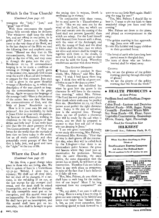#### Which Is the True Church?

#### *(Continued from page 12)*

transgress the "holy," "just," and good" law of God.

With these statements the apostle James fully accords when he declares: "For whosoever shall keep the whole law, and yet offend in one point, he is guilty of all." James 2: 10. Finally we come to the very close of the Book, and in the last chapter of the Bible we read the following clear and emphatic statement: "Blessed are they that do His commandments, that they may have right to the tree of life, and may enter in through the gates into the city." 3. Revelation 22: 14. If commandment keeping is to be made a condition of entering in through the pearly gates to the eternal city, naturally God would send the world a final call and invitation to prepare for that entrance. Just such a call is given in the great threefold message of Revelation 14, to which this description of the true church as keeping the commandments is the great climax. Again we quote the language of the message itself: "Here is the patience of the saints: here are they that keep the commandments of God, and the faith of Jesus." Revelation 14:12. How is it in your own life and experience? Are you faithfully, by faith in Jesus Christ as your only sin-pardoning Saviour and Redeemer, walking in obedience to the ten precepts of that divine and holy law? It has truly been said that the ten short precepts of the Ten-Commandment law of God are better for the world than the myriads of laws that we have today in the world. Let' us all study carefully and obey prayerfully every precept of that law that is holy, just, and good and have the "right" to the tree of life.

## Where the Dead Are

#### *(Continued from page 17)*

"At this time, a great change takes place in those who are living, also. We find it spoken of here in I Corinthians 15:  $51-54$ : 'Behold, I show you a mystery; We shall not all sleep (die), but we shall all be changed, in a moment, in the twinkling of an eye, at the last trump: for the trumpet shall sound, and the dead shall be raised incorruptible, and we shall be changed.  $\mathcal{L}_{\mathcal{N}}$ For this corruptible must put on incorruption, and this mortal must put on immortality. So when this corruptible shall have put on incorruption, and this mortal shall have put on immortality, then shall be brought to pass

the saying that is written, Death is swallowed up in victory.'

"In conjunction with these verses, let us read some in I Thessalonians  $4$ : 15-18: 'This we say unto you by the word of the Lord, that we which are alive and remain unto the coming of the Lord shall not prevent [precede] them which are asleep. For the Lord himself shall descend from heaven with a shout, with the voice of the Archangel, and with the trump of God: and the dead in Christ shall rise first: then we which are alive and remain shall be caught up together with them in the clouds, to meet the Lord in the air: and so shall we ever be with the Lord. Wherefore comfort one another with these words.'

#### THE GOLDEN MORNING

1111,"Indeed there is comfort in those words, Mrs. Palmer," said Mrs. Kennedy. "I wish I had know them long ago. I think they will be of great consolation to me in the days to come."

"The character the individual has when he goes into the grave is the character he will have in the resurrection morning," added Mrs. Palmer. "The Lord has not provided some place after death where souls may be purified from sin. (Revelation 22: II, 12.) Each person must perfect the right character now. Today is the day of salvation; now is the accepted time. Through Jesus, we can all perfect a character that will be ready for the call when it comes, and we shall be prepared to answer to that first roll call of those who are sleeping in Jesus.'

"I see two great outstanding truths in our study this evening, Mrs. Palmer," volunteered Mrs. Kennedy. "First that all stay in their graves till the resurrection day, when they will be called forth by the Life-giver—that there is no intermediate point between the grave and heaven where they must pass an examination for perfection. Second, that the same character, the same habits, the same disposition that the person has at death, he will have at the resurrection. Therefore I do not believe there is any such place as purgatory, in spite of the fact that I have believed in it fully till now.

"But, Mrs. Palmer, do you think we shall have to wait long for the realization of our hopes? Must I be long separated from my companion?" she asked.

"No, my sister, I am sure it will not be long. Here is a song I love to sing. It gives me new courage to be faithful and keeps ever bright that 'blessed hope.' I, too, as you must remember, have something special to look forward to. I

want to see my little Ruth again. Shall I sing the song for you?"

 ${}^{a}$ Yes, Mrs. Palmer; I should like to hear it. I want to pin my faith to these wonderful things you have read 'this evening."

Mrs. Palmer sat down to the piano, and played an accompaniment as she sang:

- "The golden morning is fast approaching; Jesus soon will come
- To take His faithful and happy children to their promised home.
- "The loved of earth who have long been parted meet in that glad day;
- The tears of those who are brokenhearted shall be wiped away.

#### CHORUS:

- "Oh, we see the gleams of the golden morning piercing through this night of gloom!
- Oh, we see the gleams of the golden morning that will burst the tomb!"

#### **• HEALTH PRODUCTS •**  *At Low Prices*

Psyllium Seed and Psyllium Preparations

Colon Food—Lactose and Dextrins Malted Foods—Milk, Sugar, Syrup Creamilk—Powdered Whole Milk Soy Bean Foods—Oil, Flour, Sauce Vegetable Concentrates—Seasonings Olives, Honey, Agar, Flavorings

*Send for Complete List* 

#### **HILKREST**

120 Carroll Ave., Takoma Park, D. C.